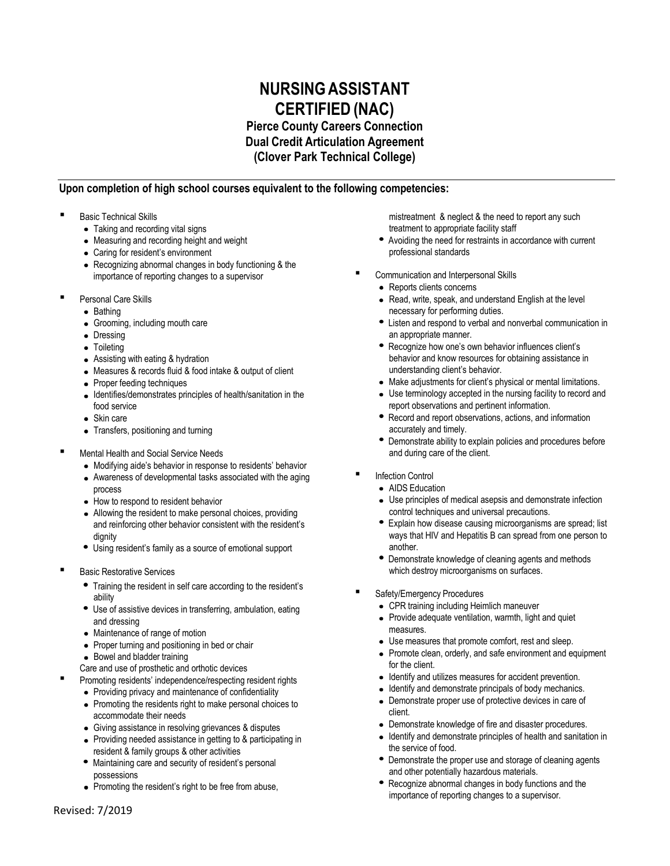## **NURSINGASSISTANT CERTIFIED (NAC)**

**Pierce County Careers Connection Dual Credit Articulation Agreement**

**(Clover Park Technical College)**

## **Upon completion of high school courses equivalent to the following competencies:**

- Basic Technical Skills
	- Taking and recording vital signs
	- Measuring and recording height and weight
	- Caring for resident's environment
	- Recognizing abnormal changes in body functioning & the importance of reporting changes to a supervisor
- Personal Care Skills
	- Bathing
	- Grooming, including mouth care
	- Dressing
	- Toileting
	- Assisting with eating & hydration
	- Measures & records fluid & food intake & output of client
	- Proper feeding techniques
	- Identifies/demonstrates principles of health/sanitation in the food service
	- Skin care
	- Transfers, positioning and turning
- Mental Health and Social Service Needs
	- Modifying aide's behavior in response to residents' behavior
	- Awareness of developmental tasks associated with the aging process
	- How to respond to resident behavior
	- Allowing the resident to make personal choices, providing and reinforcing other behavior consistent with the resident's dignity
	- Using resident's family as a source of emotional support
- Basic Restorative Services
	- Training the resident in self care according to the resident's ability
	- Use of assistive devices in transferring, ambulation, eating and dressing
	- Maintenance of range of motion
	- Proper turning and positioning in bed or chair
	- Bowel and bladder training
- Care and use of prosthetic and orthotic devices
	- Promoting residents' independence/respecting resident rights
		- Providing privacy and maintenance of confidentiality
		- Promoting the residents right to make personal choices to accommodate their needs
		- Giving assistance in resolving grievances & disputes
		- Providing needed assistance in getting to & participating in resident & family groups & other activities
		- Maintaining care and security of resident's personal possessions
		- Promoting the resident's right to be free from abuse,

mistreatment & neglect & the need to report any such treatment to appropriate facility staff

- Avoiding the need for restraints in accordance with current professional standards
- Communication and Interpersonal Skills
	- Reports clients concerns
	- Read, write, speak, and understand English at the level necessary for performing duties.
	- Listen and respond to verbal and nonverbal communication in an appropriate manner.
	- Recognize how one's own behavior influences client's behavior and know resources for obtaining assistance in understanding client's behavior.
	- Make adjustments for client's physical or mental limitations.
	- Use terminology accepted in the nursing facility to record and report observations and pertinent information.
	- Record and report observations, actions, and information accurately and timely.
	- Demonstrate ability to explain policies and procedures before and during care of the client.
- Infection Control
	- AIDS Education
	- Use principles of medical asepsis and demonstrate infection control techniques and universal precautions.
	- Explain how disease causing microorganisms are spread; list ways that HIV and Hepatitis B can spread from one person to another.
	- Demonstrate knowledge of cleaning agents and methods which destroy microorganisms on surfaces.
- Safety/Emergency Procedures
	- CPR training including Heimlich maneuver
	- Provide adequate ventilation, warmth, light and quiet measures.
	- Use measures that promote comfort, rest and sleep.
	- Promote clean, orderly, and safe environment and equipment for the client.
	- Identify and utilizes measures for accident prevention.
	- Identify and demonstrate principals of body mechanics.
	- Demonstrate proper use of protective devices in care of client.
	- Demonstrate knowledge of fire and disaster procedures.
	- Identify and demonstrate principles of health and sanitation in the service of food.
	- Demonstrate the proper use and storage of cleaning agents and other potentially hazardous materials.
	- Recognize abnormal changes in body functions and the importance of reporting changes to a supervisor.